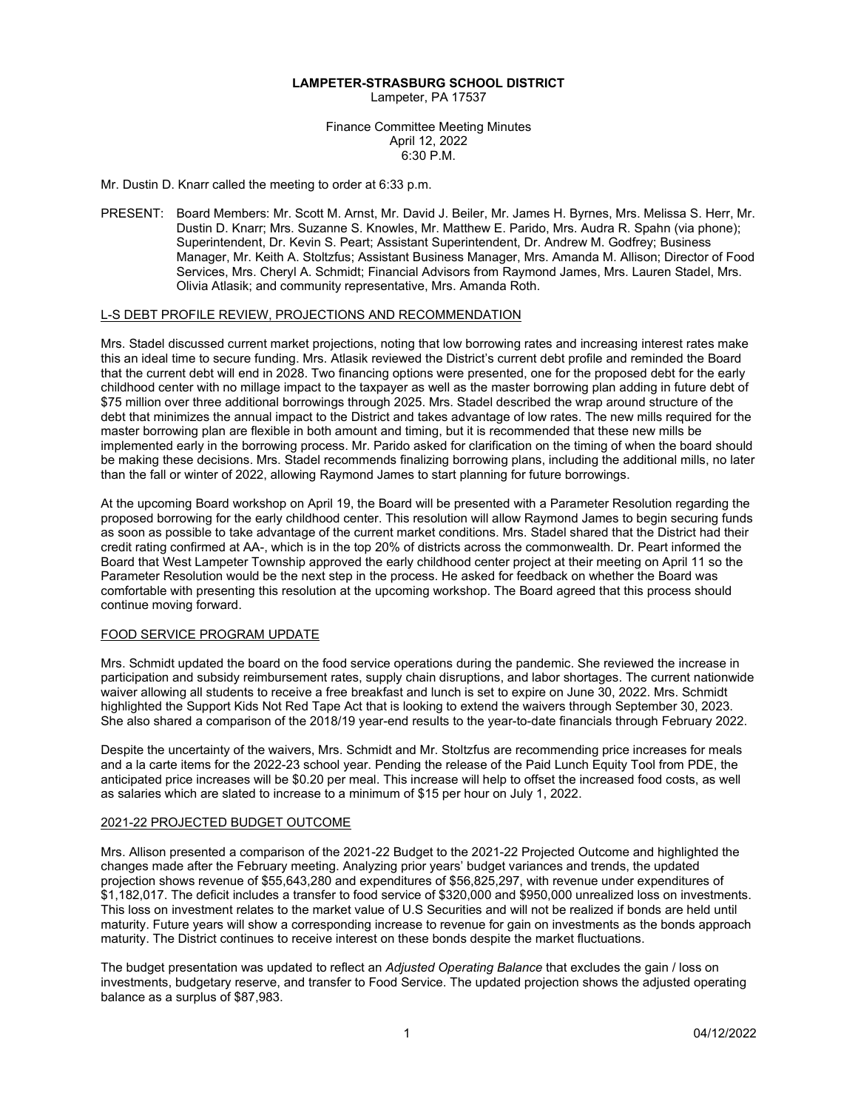### **LAMPETER-STRASBURG SCHOOL DISTRICT**

Lampeter, PA 17537

Finance Committee Meeting Minutes April 12, 2022 6:30 P.M.

Mr. Dustin D. Knarr called the meeting to order at 6:33 p.m.

PRESENT: Board Members: Mr. Scott M. Arnst, Mr. David J. Beiler, Mr. James H. Byrnes, Mrs. Melissa S. Herr, Mr. Dustin D. Knarr; Mrs. Suzanne S. Knowles, Mr. Matthew E. Parido, Mrs. Audra R. Spahn (via phone); Superintendent, Dr. Kevin S. Peart; Assistant Superintendent, Dr. Andrew M. Godfrey; Business Manager, Mr. Keith A. Stoltzfus; Assistant Business Manager, Mrs. Amanda M. Allison; Director of Food Services, Mrs. Cheryl A. Schmidt; Financial Advisors from Raymond James, Mrs. Lauren Stadel, Mrs. Olivia Atlasik; and community representative, Mrs. Amanda Roth.

# L-S DEBT PROFILE REVIEW, PROJECTIONS AND RECOMMENDATION

Mrs. Stadel discussed current market projections, noting that low borrowing rates and increasing interest rates make this an ideal time to secure funding. Mrs. Atlasik reviewed the District's current debt profile and reminded the Board that the current debt will end in 2028. Two financing options were presented, one for the proposed debt for the early childhood center with no millage impact to the taxpayer as well as the master borrowing plan adding in future debt of \$75 million over three additional borrowings through 2025. Mrs. Stadel described the wrap around structure of the debt that minimizes the annual impact to the District and takes advantage of low rates. The new mills required for the master borrowing plan are flexible in both amount and timing, but it is recommended that these new mills be implemented early in the borrowing process. Mr. Parido asked for clarification on the timing of when the board should be making these decisions. Mrs. Stadel recommends finalizing borrowing plans, including the additional mills, no later than the fall or winter of 2022, allowing Raymond James to start planning for future borrowings.

At the upcoming Board workshop on April 19, the Board will be presented with a Parameter Resolution regarding the proposed borrowing for the early childhood center. This resolution will allow Raymond James to begin securing funds as soon as possible to take advantage of the current market conditions. Mrs. Stadel shared that the District had their credit rating confirmed at AA-, which is in the top 20% of districts across the commonwealth. Dr. Peart informed the Board that West Lampeter Township approved the early childhood center project at their meeting on April 11 so the Parameter Resolution would be the next step in the process. He asked for feedback on whether the Board was comfortable with presenting this resolution at the upcoming workshop. The Board agreed that this process should continue moving forward.

## FOOD SERVICE PROGRAM UPDATE

Mrs. Schmidt updated the board on the food service operations during the pandemic. She reviewed the increase in participation and subsidy reimbursement rates, supply chain disruptions, and labor shortages. The current nationwide waiver allowing all students to receive a free breakfast and lunch is set to expire on June 30, 2022. Mrs. Schmidt highlighted the Support Kids Not Red Tape Act that is looking to extend the waivers through September 30, 2023. She also shared a comparison of the 2018/19 year-end results to the year-to-date financials through February 2022.

Despite the uncertainty of the waivers, Mrs. Schmidt and Mr. Stoltzfus are recommending price increases for meals and a la carte items for the 2022-23 school year. Pending the release of the Paid Lunch Equity Tool from PDE, the anticipated price increases will be \$0.20 per meal. This increase will help to offset the increased food costs, as well as salaries which are slated to increase to a minimum of \$15 per hour on July 1, 2022.

## 2021-22 PROJECTED BUDGET OUTCOME

Mrs. Allison presented a comparison of the 2021-22 Budget to the 2021-22 Projected Outcome and highlighted the changes made after the February meeting. Analyzing prior years' budget variances and trends, the updated projection shows revenue of \$55,643,280 and expenditures of \$56,825,297, with revenue under expenditures of \$1,182,017. The deficit includes a transfer to food service of \$320,000 and \$950,000 unrealized loss on investments. This loss on investment relates to the market value of U.S Securities and will not be realized if bonds are held until maturity. Future years will show a corresponding increase to revenue for gain on investments as the bonds approach maturity. The District continues to receive interest on these bonds despite the market fluctuations.

The budget presentation was updated to reflect an *Adjusted Operating Balance* that excludes the gain / loss on investments, budgetary reserve, and transfer to Food Service. The updated projection shows the adjusted operating balance as a surplus of \$87,983.